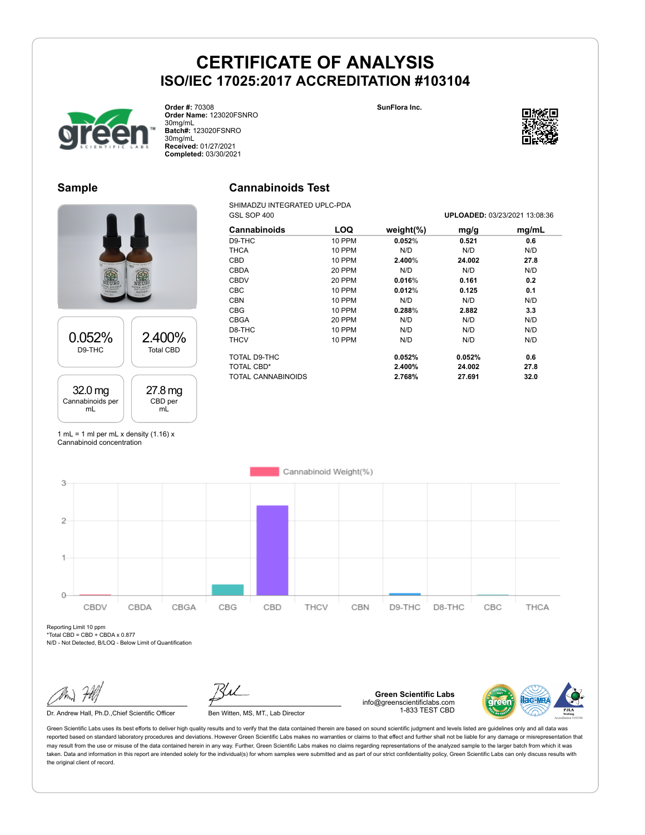



**Order #:** 70308 **Order Name:** 123020FSNRO 30mg/mL **Batch#:** 123020FSNRO 30mg/mL **Received:** 01/27/2021 **Completed:** 03/30/2021

### **Sample**

# 0.052% D9-THC 2.400% Total CBD 32.0 mg Cannabinoids per mL 27.8 mg CBD per mL

# **Cannabinoids Test**

SHIMADZU INTEGRATED UPLC-PDA<br>GSL SOP 400

| Cannabinoids       | <b>LOQ</b>    | weight $(\%)$ | mg/g   | mg/mL |
|--------------------|---------------|---------------|--------|-------|
| D9-THC             | 10 PPM        | 0.052%        | 0.521  | 0.6   |
| <b>THCA</b>        | 10 PPM        | N/D           | N/D    | N/D   |
| CBD                | <b>10 PPM</b> | 2.400%        | 24.002 | 27.8  |
| <b>CBDA</b>        | 20 PPM        | N/D           | N/D    | N/D   |
| <b>CBDV</b>        | 20 PPM        | 0.016%        | 0.161  | 0.2   |
| <b>CBC</b>         | <b>10 PPM</b> | 0.012%        | 0.125  | 0.1   |
| <b>CBN</b>         | <b>10 PPM</b> | N/D           | N/D    | N/D   |
| <b>CBG</b>         | <b>10 PPM</b> | 0.288%        | 2.882  | 3.3   |
| CBGA               | 20 PPM        | N/D           | N/D    | N/D   |
| D8-THC             | <b>10 PPM</b> | N/D           | N/D    | N/D   |
| <b>THCV</b>        | <b>10 PPM</b> | N/D           | N/D    | N/D   |
| TOTAL D9-THC       |               | 0.052%        | 0.052% | 0.6   |
| TOTAL CBD*         |               | 2.400%        | 24.002 | 27.8  |
| TOTAL CANNABINOIDS |               | 2.768%        | 27.691 | 32.0  |

1 mL = 1 ml per mL x density  $(1.16)$  x Cannabinoid concentration



Reporting Limit 10 ppm  $*Total CBD = CBD + CBDA \times 0.877$ 

N/D - Not Detected, B/LOQ - Below Limit of Quantification

Dr. Andrew Hall, Ph.D., Chief Scientific Officer Ben Witten, MS, MT., Lab Director

**Green Scientific Labs** info@greenscientificlabs.com 1-833 TEST CBD



Green Scientific Labs uses its best efforts to deliver high quality results and to verify that the data contained therein are based on sound scientific judgment and levels listed are guidelines only and all data was reported based on standard laboratory procedures and deviations. However Green Scientific Labs makes no warranties or claims to that effect and further shall not be liable for any damage or misrepresentation that may result from the use or misuse of the data contained herein in any way. Further, Green Scientific Labs makes no claims regarding representations of the analyzed sample to the larger batch from which it was taken. Data and information in this report are intended solely for the individual(s) for whom samples were submitted and as part of our strict confidentiality policy, Green Scientific Labs can only discuss results with the original client of record.



GSL SOP 400 **UPLOADED:** 03/23/2021 13:08:36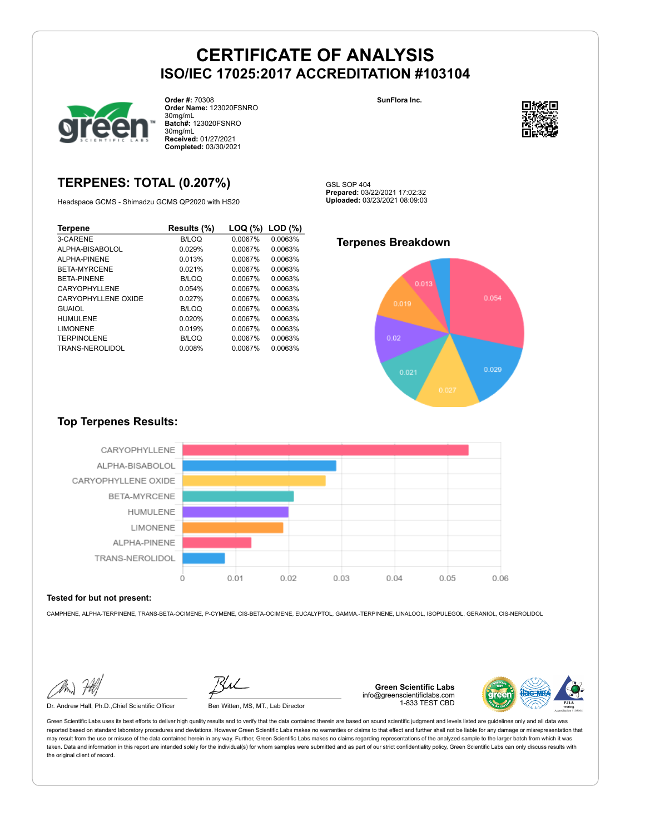

**Order #:** 70308 **Order Name:** 123020FSNRO 30mg/mL **Batch#:** 123020FSNRO 30mg/mL **Received:** 01/27/2021 **Completed:** 03/30/2021

## **TERPENES: TOTAL (0.207%)**

Headspace GCMS - Shimadzu GCMS QP2020 with HS20

| Terpene             | Results (%) | LOQ (%) | LOD(%)  |
|---------------------|-------------|---------|---------|
| 3-CARENE            | B/LOQ       | 0.0067% | 0.0063% |
| ALPHA-BISABOLOL     | 0.029%      | 0.0067% | 0.0063% |
| ALPHA-PINENE        | 0.013%      | 0.0067% | 0.0063% |
| <b>BETA-MYRCENE</b> | 0.021%      | 0.0067% | 0.0063% |
| <b>BETA-PINENE</b>  | B/LOQ       | 0.0067% | 0.0063% |
| CARYOPHYLLENE       | 0.054%      | 0.0067% | 0.0063% |
| CARYOPHYLLENE OXIDE | 0.027%      | 0.0067% | 0.0063% |
| <b>GUAIOL</b>       | B/LOQ       | 0.0067% | 0.0063% |
| <b>HUMULENE</b>     | 0.020%      | 0.0067% | 0.0063% |
| <b>LIMONENE</b>     | 0.019%      | 0.0067% | 0.0063% |
| <b>TERPINOLENE</b>  | B/LOQ       | 0.0067% | 0.0063% |
| TRANS-NEROLIDOL     | 0.008%      | 0.0067% | 0.0063% |

**SunFlora Inc.**



GSL SOP 404 **Prepared:** 03/22/2021 17:02:32 **Uploaded:** 03/23/2021 08:09:03

### **Terpenes Breakdown**



#### **Top Terpenes Results:**



#### **Tested for but not present:**

CAMPHENE, ALPHA-TERPINENE, TRANS-BETA-OCIMENE, P-CYMENE, CIS-BETA-OCIMENE, EUCALYPTOL, GAMMA.-TERPINENE, LINALOOL, ISOPULEGOL, GERANIOL, CIS-NEROLIDOL

Dr. Andrew Hall, Ph.D.,Chief Scientific Officer Ben Witten, MS, MT., Lab Director

**Green Scientific Labs** info@greenscientificlabs.com 1-833 TEST CBD

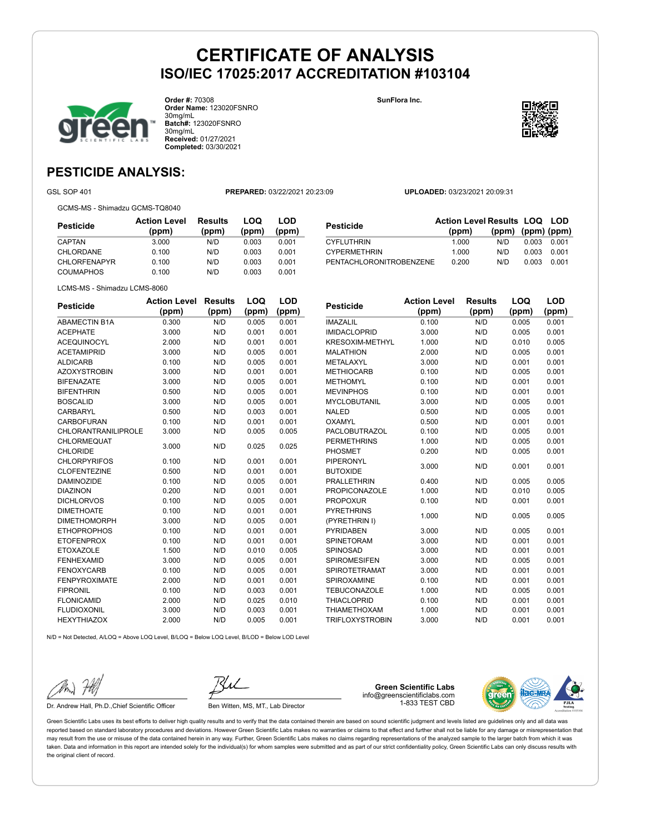

**Order #:** 70308 **Order Name:** 123020FSNRO 30mg/mL **Batch#:** 123020FSNRO 30mg/mL **Received:** 01/27/2021 **Completed:** 03/30/2021

**SunFlora Inc.**



## **PESTICIDE ANALYSIS:**

GSL SOP 401 **PREPARED:** 03/22/2021 20:23:09 **UPLOADED:** 03/23/2021 20:09:31

GCMS-MS - Shimadzu GCMS-TQ8040

| Pesticide           | <b>Action Level</b><br>(ppm) | <b>Results</b><br>(ppm) | LOQ<br>(ppm) | LOD<br>(ppm) |
|---------------------|------------------------------|-------------------------|--------------|--------------|
| CAPTAN              | 3.000                        | N/D                     | 0.003        | 0.001        |
| CHLORDANE           | 0.100                        | N/D                     | 0.003        | 0.001        |
| <b>CHLORFENAPYR</b> | 0.100                        | N/D                     | 0.003        | 0.001        |
| <b>COUMAPHOS</b>    | 0.100                        | N/D                     | 0.003        | 0.001        |

|                                | <b>Action Level Results LOQ LOD</b> |                   |       |       |
|--------------------------------|-------------------------------------|-------------------|-------|-------|
| Pesticide                      | (ppm)                               | (ppm) (ppm) (ppm) |       |       |
| <b>CYFLUTHRIN</b>              | 1.000                               | N/D.              | 0.003 | 0.001 |
| <b>CYPERMETHRIN</b>            | 1.000                               | N/D               | 0.003 | 0.001 |
| <b>PENTACHLORONITROBENZENE</b> | 0.200                               | N/D               | 0.003 | 0.001 |

LCMS-MS - Shimadzu LCMS-8060

| <b>Pesticide</b>           | <b>Action Level</b> | <b>Results</b> | LOQ   | LOD   |
|----------------------------|---------------------|----------------|-------|-------|
|                            | (ppm)               | (ppm)          | (ppm) | (ppm) |
| <b>ABAMECTIN B1A</b>       | 0.300               | N/D            | 0.005 | 0.001 |
| <b>ACEPHATE</b>            | 3.000               | N/D            | 0.001 | 0.001 |
| <b>ACEQUINOCYL</b>         | 2.000               | N/D            | 0.001 | 0.001 |
| <b>ACETAMIPRID</b>         | 3.000               | N/D            | 0.005 | 0.001 |
| <b>ALDICARB</b>            | 0.100               | N/D            | 0.005 | 0.001 |
| <b>AZOXYSTROBIN</b>        | 3.000               | N/D            | 0.001 | 0.001 |
| <b>BIFENAZATE</b>          | 3.000               | N/D            | 0.005 | 0.001 |
| <b>BIFENTHRIN</b>          | 0.500               | N/D            | 0.005 | 0.001 |
| <b>BOSCALID</b>            | 3.000               | N/D            | 0.005 | 0.001 |
| CARBARYL                   | 0.500               | N/D            | 0.003 | 0.001 |
| <b>CARBOFURAN</b>          | 0.100               | N/D            | 0.001 | 0.001 |
| <b>CHLORANTRANILIPROLE</b> | 3.000               | N/D            | 0.005 | 0.005 |
| <b>CHLORMEQUAT</b>         | 3.000               | N/D            | 0.025 | 0.025 |
| <b>CHLORIDE</b>            |                     |                |       |       |
| <b>CHLORPYRIFOS</b>        | 0.100               | N/D            | 0.001 | 0.001 |
| <b>CLOFENTEZINE</b>        | 0.500               | N/D            | 0.001 | 0.001 |
| <b>DAMINOZIDE</b>          | 0.100               | N/D            | 0.005 | 0.001 |
| <b>DIAZINON</b>            | 0.200               | N/D            | 0.001 | 0.001 |
| <b>DICHLORVOS</b>          | 0.100               | N/D            | 0.005 | 0.001 |
| <b>DIMETHOATE</b>          | 0.100               | N/D            | 0.001 | 0.001 |
| <b>DIMETHOMORPH</b>        | 3.000               | N/D            | 0.005 | 0.001 |
| <b>ETHOPROPHOS</b>         | 0.100               | N/D            | 0.001 | 0.001 |
| <b>ETOFENPROX</b>          | 0.100               | N/D            | 0.001 | 0.001 |
| <b>ETOXAZOLE</b>           | 1.500               | N/D            | 0.010 | 0.005 |
| <b>FENHEXAMID</b>          | 3.000               | N/D            | 0.005 | 0.001 |
| <b>FENOXYCARB</b>          | 0.100               | N/D            | 0.005 | 0.001 |
| <b>FENPYROXIMATE</b>       | 2.000               | N/D            | 0.001 | 0.001 |
| <b>FIPRONIL</b>            | 0.100               | N/D            | 0.003 | 0.001 |
| <b>FLONICAMID</b>          | 2.000               | N/D            | 0.025 | 0.010 |
| <b>FLUDIOXONIL</b>         | 3.000               | N/D            | 0.003 | 0.001 |
| <b>HEXYTHIAZOX</b>         | 2.000               | N/D            | 0.005 | 0.001 |

| <b>Pesticide</b>     | <b>Action Level</b> | <b>Results</b> | LOQ   | LOD   |
|----------------------|---------------------|----------------|-------|-------|
|                      | (ppm)               | (ppm)          | (ppm) | (ppm) |
| <b>IMAZALIL</b>      | 0.100               | N/D            | 0.005 | 0.001 |
| <b>IMIDACLOPRID</b>  | 3.000               | N/D            | 0.005 | 0.001 |
| KRESOXIM-METHYL      | 1.000               | N/D            | 0.010 | 0.005 |
| <b>MALATHION</b>     | 2.000               | N/D            | 0.005 | 0.001 |
| METALAXYL            | 3.000               | N/D            | 0.001 | 0.001 |
| <b>METHIOCARB</b>    | 0.100               | N/D            | 0.005 | 0.001 |
| <b>METHOMYL</b>      | 0.100               | N/D            | 0.001 | 0.001 |
| <b>MEVINPHOS</b>     | 0.100               | N/D            | 0.001 | 0.001 |
| <b>MYCLOBUTANIL</b>  | 3.000               | N/D            | 0.005 | 0.001 |
| <b>NALED</b>         | 0.500               | N/D            | 0.005 | 0.001 |
| OXAMYL               | 0.500               | N/D            | 0.001 | 0.001 |
| <b>PACLOBUTRAZOL</b> | 0.100               | N/D            | 0.005 | 0.001 |
| <b>PERMETHRINS</b>   | 1.000               | N/D            | 0.005 | 0.001 |
| <b>PHOSMET</b>       | 0.200               | N/D            | 0.005 | 0.001 |
| <b>PIPERONYL</b>     | 3.000               | N/D            | 0.001 | 0.001 |
| <b>BUTOXIDE</b>      |                     |                |       |       |
| <b>PRALLETHRIN</b>   | 0.400               | N/D            | 0.005 | 0.005 |
| <b>PROPICONAZOLE</b> | 1.000               | N/D            | 0.010 | 0.005 |
| <b>PROPOXUR</b>      | 0.100               | N/D            | 0.001 | 0.001 |
| <b>PYRETHRINS</b>    | 1.000               | N/D            | 0.005 | 0.005 |
| (PYRETHRIN I)        |                     |                |       |       |
| <b>PYRIDABEN</b>     | 3.000               | N/D            | 0.005 | 0.001 |
| <b>SPINETORAM</b>    | 3.000               | N/D            | 0.001 | 0.001 |
| SPINOSAD             | 3.000               | N/D            | 0.001 | 0.001 |
| <b>SPIROMESIFEN</b>  | 3.000               | N/D            | 0.005 | 0.001 |
| <b>SPIROTETRAMAT</b> | 3.000               | N/D            | 0.001 | 0.001 |
| SPIROXAMINE          | 0.100               | N/D            | 0.001 | 0.001 |
| <b>TEBUCONAZOLE</b>  | 1.000               | N/D            | 0.005 | 0.001 |
| <b>THIACLOPRID</b>   | 0.100               | N/D            | 0.001 | 0.001 |
| <b>THIAMETHOXAM</b>  | 1.000               | N/D            | 0.001 | 0.001 |

TRIFLOXYSTROBIN 3.000 N/D 0.001 0.001

N/D = Not Detected, A/LOQ = Above LOQ Level, B/LOQ = Below LOQ Level, B/LOD = Below LOD Level



Dr. Andrew Hall, Ph.D., Chief Scientific Officer Ben Witten, MS, MT., Lab Director

**Green Scientific Labs** info@greenscientificlabs.com 1-833 TEST CBD

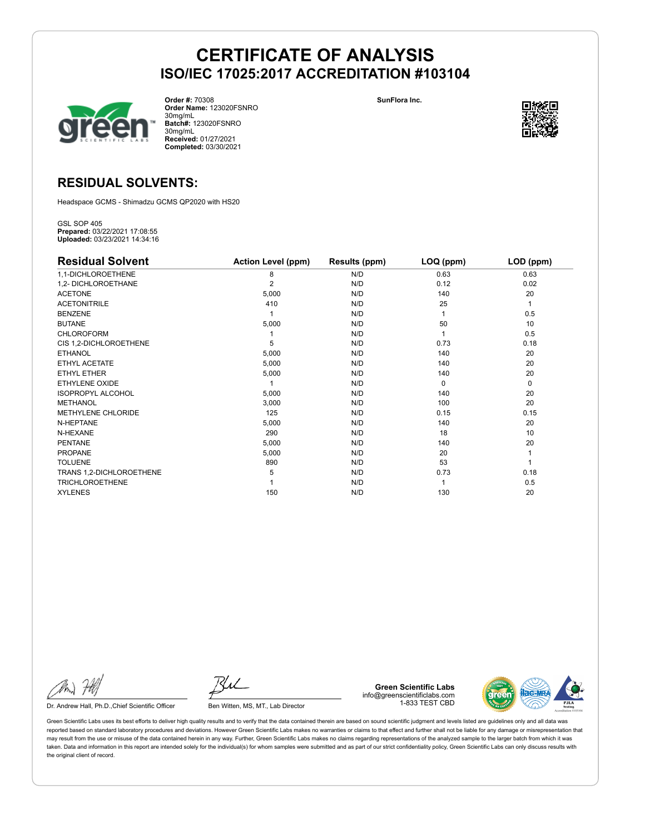

**Order #:** 70308 **Order Name:** 123020FSNRO 30mg/mL **Batch#:** 123020FSNRO 30mg/mL **Received:** 01/27/2021 **Completed:** 03/30/2021

**SunFlora Inc.**



## **RESIDUAL SOLVENTS:**

Headspace GCMS - Shimadzu GCMS QP2020 with HS20

GSL SOP 405 **Prepared:** 03/22/2021 17:08:55 **Uploaded:** 03/23/2021 14:34:16

| <b>Residual Solvent</b>  | <b>Action Level (ppm)</b> | Results (ppm) | LOQ (ppm) | LOD (ppm)   |
|--------------------------|---------------------------|---------------|-----------|-------------|
| 1,1-DICHLOROETHENE       | 8                         | N/D           | 0.63      | 0.63        |
| 1,2- DICHLOROETHANE      | $\overline{2}$            | N/D           | 0.12      | 0.02        |
| <b>ACETONE</b>           | 5,000                     | N/D           | 140       | 20          |
| <b>ACETONITRILE</b>      | 410                       | N/D           | 25        | 1           |
| <b>BENZENE</b>           |                           | N/D           |           | 0.5         |
| <b>BUTANE</b>            | 5,000                     | N/D           | 50        | 10          |
| <b>CHLOROFORM</b>        |                           | N/D           |           | 0.5         |
| CIS 1,2-DICHLOROETHENE   | 5                         | N/D           | 0.73      | 0.18        |
| <b>ETHANOL</b>           | 5,000                     | N/D           | 140       | 20          |
| ETHYL ACETATE            | 5,000                     | N/D           | 140       | 20          |
| <b>ETHYL ETHER</b>       | 5,000                     | N/D           | 140       | 20          |
| ETHYLENE OXIDE           |                           | N/D           | $\Omega$  | $\mathbf 0$ |
| <b>ISOPROPYL ALCOHOL</b> | 5,000                     | N/D           | 140       | 20          |
| <b>METHANOL</b>          | 3,000                     | N/D           | 100       | 20          |
| METHYLENE CHLORIDE       | 125                       | N/D           | 0.15      | 0.15        |
| N-HEPTANE                | 5,000                     | N/D           | 140       | 20          |
| N-HEXANE                 | 290                       | N/D           | 18        | 10          |
| <b>PENTANE</b>           | 5,000                     | N/D           | 140       | 20          |
| PROPANE                  | 5,000                     | N/D           | 20        |             |
| <b>TOLUENE</b>           | 890                       | N/D           | 53        |             |
| TRANS 1,2-DICHLOROETHENE | 5                         | N/D           | 0.73      | 0.18        |
| <b>TRICHLOROETHENE</b>   |                           | N/D           |           | 0.5         |
| <b>XYLENES</b>           | 150                       | N/D           | 130       | 20          |

Dr. Andrew Hall, Ph.D., Chief Scientific Officer Ben Witten, MS, MT., Lab Director

**Green Scientific Labs** info@greenscientificlabs.com 1-833 TEST CBD

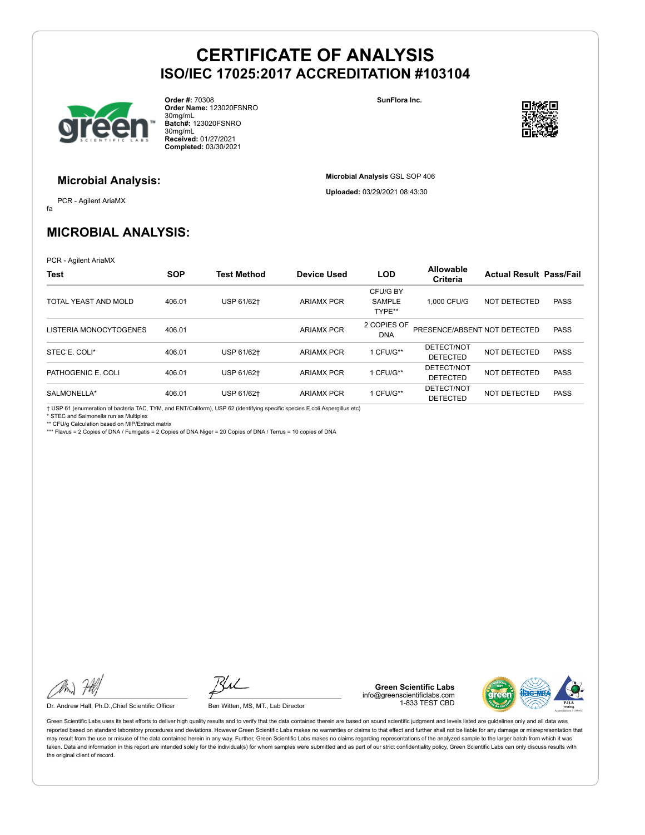

**Order #:** 70308 **Order Name:** 123020FSNRO 30mg/mL **Batch#:** 123020FSNRO 30mg/mL **Received:** 01/27/2021 **Completed:** 03/30/2021

**SunFlora Inc.**

**Microbial Analysis** GSL SOP 406 **Uploaded:** 03/29/2021 08:43:30



#### **Microbial Analysis:**

fa PCR - Agilent AriaMX

## **MICROBIAL ANALYSIS:**

PCR - Agilent AriaMX

| <b>Test</b>            | <b>SOP</b> | <b>Test Method</b> | <b>Device Used</b> | <b>LOD</b>                          | Allowable<br>Criteria         | <b>Actual Result Pass/Fail</b> |             |
|------------------------|------------|--------------------|--------------------|-------------------------------------|-------------------------------|--------------------------------|-------------|
| TOTAL YEAST AND MOLD   | 406.01     | USP 61/62+         | <b>ARIAMX PCR</b>  | CFU/G BY<br><b>SAMPLE</b><br>TYPE** | 1.000 CFU/G                   | NOT DETECTED                   | <b>PASS</b> |
| LISTERIA MONOCYTOGENES | 406.01     |                    | <b>ARIAMX PCR</b>  | 2 COPIES OF<br><b>DNA</b>           | PRESENCE/ABSENT NOT DETECTED  |                                | <b>PASS</b> |
| STEC E. COLI*          | 406.01     | USP 61/62+         | <b>ARIAMX PCR</b>  | 1 CFU/G**                           | DETECT/NOT<br><b>DETECTED</b> | NOT DETECTED                   | <b>PASS</b> |
| PATHOGENIC E. COLI     | 406.01     | USP 61/62+         | <b>ARIAMX PCR</b>  | 1 CFU/G**                           | DETECT/NOT<br><b>DETECTED</b> | NOT DETECTED                   | <b>PASS</b> |
| SALMONELLA*            | 406.01     | USP 61/62+         | <b>ARIAMX PCR</b>  | 1 CFU/G**                           | DETECT/NOT<br><b>DETECTED</b> | NOT DETECTED                   | <b>PASS</b> |

† USP 61 (enumeration of bacteria TAC, TYM, and ENT/Coliform), USP 62 (identifying specific species E.coli Aspergillus etc)

\* STEC and Salmonella run as Multiplex \*\* CFU/g Calculation based on MIP/Extract matrix

\*\*\* Flavus = 2 Copies of DNA / Fumigatis = 2 Copies of DNA Niger = 20 Copies of DNA / Terrus = 10 copies of DNA

Dr. Andrew Hall, Ph.D., Chief Scientific Officer Ben Witten, MS, MT., Lab Director

**Green Scientific Labs** info@greenscientificlabs.com 1-833 TEST CBD